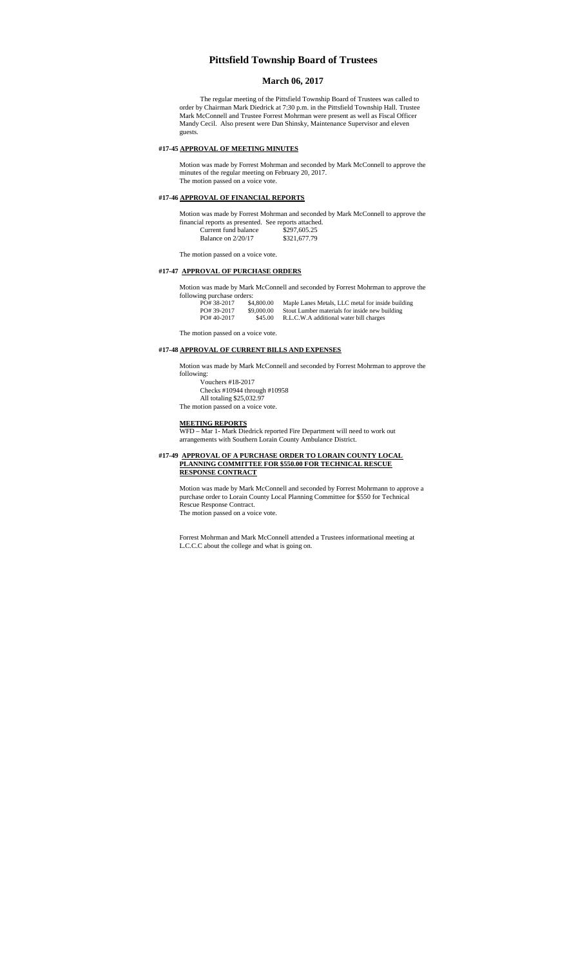# **Pittsfield Township Board of Trustees**

# **March 06, 2017**

The regular meeting of the Pittsfield Township Board of Trustees was called to order by Chairman Mark Diedrick at 7:30 p.m. in the Pittsfield Township Hall. Trustee Mark McConnell and Trustee Forrest Mohrman were present as well as Fiscal Officer Mandy Cecil. Also present were Dan Shinsky, Maintenance Supervisor and eleven guests.

## **#17-45 APPROVAL OF MEETING MINUTES**

Motion was made by Forrest Mohrman and seconded by Mark McConnell to approve the minutes of the regular meeting on February 20, 2017. The motion passed on a voice vote.

## **#17-46 APPROVAL OF FINANCIAL REPORTS**

Motion was made by Forrest Mohrman and seconded by Mark McConnell to approve the financial reports as presented. See reports attached. Current fund balance \$297,605.25 Balance on 2/20/17 \$321,677.79

The motion passed on a voice vote.

# **#17-47 APPROVAL OF PURCHASE ORDERS**

Motion was made by Mark McConnell and seconded by Forrest Mohrman to approve the  $follow$ 

| rowing purchase orders. |            |                                                   |
|-------------------------|------------|---------------------------------------------------|
| PO# 38-2017             | \$4,800.00 | Maple Lanes Metals, LLC metal for inside building |
| PO# 39-2017             | \$9,000.00 | Stout Lumber materials for inside new building    |
| PO#40-2017              | \$45.00    | R.L.C.W.A additional water bill charges           |

The motion passed on a voice vote.

## **#17-48 APPROVAL OF CURRENT BILLS AND EXPENSES**

Motion was made by Mark McConnell and seconded by Forrest Mohrman to approve the following:

Vouchers #18-2017 Checks #10944 through #10958 All totaling \$25,032.97

The motion passed on a voice vote.

### **MEETING REPORTS**

WFD – Mar 1- Mark Diedrick reported Fire Department will need to work out arrangements with Southern Lorain County Ambulance District.

### **#17-49 APPROVAL OF A PURCHASE ORDER TO LORAIN COUNTY LOCAL PLANNING COMMITTEE FOR \$550.00 FOR TECHNICAL RESCUE RESPONSE CONTRACT**

Motion was made by Mark McConnell and seconded by Forrest Mohrmann to approve a purchase order to Lorain County Local Planning Committee for \$550 for Technical Rescue Response Contract. The motion passed on a voice vote.

Forrest Mohrman and Mark McConnell attended a Trustees informational meeting at L.C.C.C about the college and what is going on.